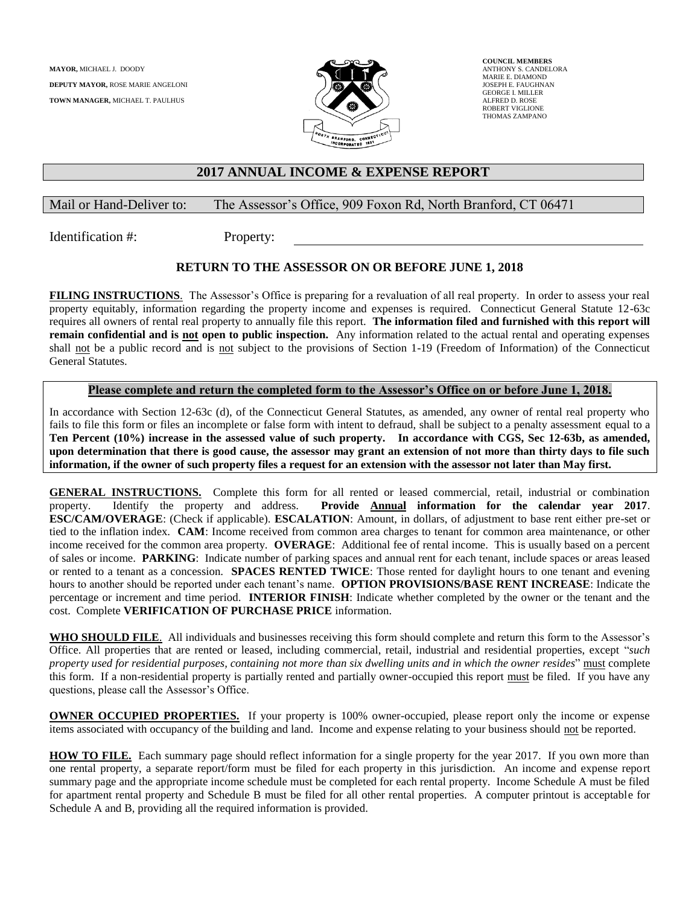

**COUNCIL MEMBERS** ANTHONY S. CANDELORA MARIE E. DIAMOND JOSEPH E. FAUGHNAN GEORGE I. MILLER ALFRED D. ROSE ROBERT VIGLIONE THOMAS ZAMPANO

### **2017 ANNUAL INCOME & EXPENSE REPORT**

#### Mail or Hand-Deliver to: The Assessor's Office, 909 Foxon Rd, North Branford, CT 06471

Identification #: Property:

### **RETURN TO THE ASSESSOR ON OR BEFORE JUNE 1, 2018**

**FILING INSTRUCTIONS**. The Assessor's Office is preparing for a revaluation of all real property. In order to assess your real property equitably, information regarding the property income and expenses is required. Connecticut General Statute 12-63c requires all owners of rental real property to annually file this report. **The information filed and furnished with this report will remain confidential and is not open to public inspection.** Any information related to the actual rental and operating expenses shall not be a public record and is not subject to the provisions of Section 1-19 (Freedom of Information) of the Connecticut General Statutes.

#### **Please complete and return the completed form to the Assessor's Office on or before June 1, 2018.**

In accordance with Section 12-63c (d), of the Connecticut General Statutes, as amended, any owner of rental real property who fails to file this form or files an incomplete or false form with intent to defraud, shall be subject to a penalty assessment equal to a **Ten Percent (10%) increase in the assessed value of such property. In accordance with CGS, Sec 12-63b, as amended, upon determination that there is good cause, the assessor may grant an extension of not more than thirty days to file such information, if the owner of such property files a request for an extension with the assessor not later than May first.** 

**GENERAL INSTRUCTIONS.** Complete this form for all rented or leased commercial, retail, industrial or combination property. Identify the property and address. **Provide Annual information for the calendar year 2017**. **ESC/CAM/OVERAGE**: (Check if applicable). **ESCALATION**: Amount, in dollars, of adjustment to base rent either pre-set or tied to the inflation index. **CAM**: Income received from common area charges to tenant for common area maintenance, or other income received for the common area property. **OVERAGE**: Additional fee of rental income. This is usually based on a percent of sales or income. **PARKING**: Indicate number of parking spaces and annual rent for each tenant, include spaces or areas leased or rented to a tenant as a concession. **SPACES RENTED TWICE**: Those rented for daylight hours to one tenant and evening hours to another should be reported under each tenant's name. **OPTION PROVISIONS/BASE RENT INCREASE**: Indicate the percentage or increment and time period. **INTERIOR FINISH**: Indicate whether completed by the owner or the tenant and the cost. Complete **VERIFICATION OF PURCHASE PRICE** information.

**WHO SHOULD FILE**. All individuals and businesses receiving this form should complete and return this form to the Assessor's Office. All properties that are rented or leased, including commercial, retail, industrial and residential properties, except "*such property used for residential purposes, containing not more than six dwelling units and in which the owner resides*" must complete this form. If a non-residential property is partially rented and partially owner-occupied this report must be filed. If you have any questions, please call the Assessor's Office.

**OWNER OCCUPIED PROPERTIES.** If your property is 100% owner-occupied, please report only the income or expense items associated with occupancy of the building and land. Income and expense relating to your business should not be reported.

**HOW TO FILE.** Each summary page should reflect information for a single property for the year 2017. If you own more than one rental property, a separate report/form must be filed for each property in this jurisdiction. An income and expense report summary page and the appropriate income schedule must be completed for each rental property. Income Schedule A must be filed for apartment rental property and Schedule B must be filed for all other rental properties. A computer printout is acceptable for Schedule A and B, providing all the required information is provided.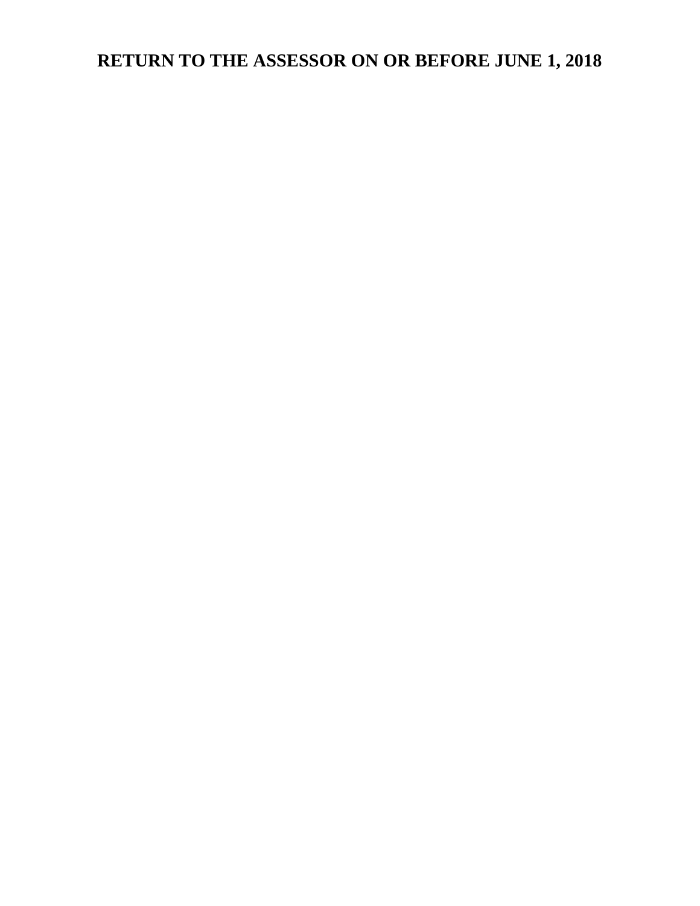# **RETURN TO THE ASSESSOR ON OR BEFORE JUNE 1, 2018**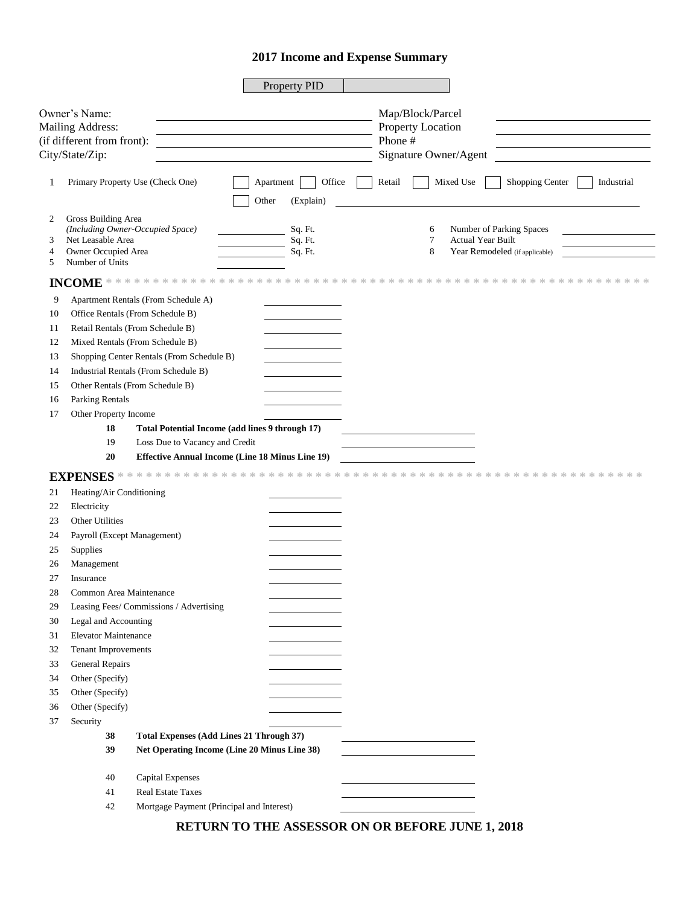## **Income and Expense Summary**

|        |                                          |                                           | Property PID                                           |                                                                |            |
|--------|------------------------------------------|-------------------------------------------|--------------------------------------------------------|----------------------------------------------------------------|------------|
|        | Owner's Name:                            |                                           |                                                        |                                                                |            |
|        | Mailing Address:                         |                                           |                                                        | Map/Block/Parcel<br>Property Location                          |            |
|        | (if different from front):               |                                           |                                                        | Phone #                                                        |            |
|        | City/State/Zip:                          |                                           |                                                        | Signature Owner/Agent                                          |            |
|        |                                          |                                           |                                                        |                                                                |            |
| 1      |                                          | Primary Property Use (Check One)          | Office<br>Apartment<br>Other<br>(Explain)              | Mixed Use<br>Shopping Center<br>Retail                         | Industrial |
| 2<br>3 | Gross Building Area<br>Net Leasable Area | (Including Owner-Occupied Space)          | Sq. Ft.<br>Sq. Ft.                                     | Number of Parking Spaces<br>6<br>7<br><b>Actual Year Built</b> |            |
| 4<br>5 | Owner Occupied Area<br>Number of Units   |                                           | Sq. Ft.                                                | 8<br>Year Remodeled (if applicable)                            |            |
|        |                                          |                                           |                                                        |                                                                |            |
| 9      |                                          | Apartment Rentals (From Schedule A)       |                                                        |                                                                |            |
|        |                                          | Office Rentals (From Schedule B)          |                                                        |                                                                |            |
| 10     |                                          |                                           |                                                        |                                                                |            |
| 11     |                                          | Retail Rentals (From Schedule B)          |                                                        |                                                                |            |
| 12     |                                          | Mixed Rentals (From Schedule B)           |                                                        |                                                                |            |
| 13     |                                          | Shopping Center Rentals (From Schedule B) |                                                        |                                                                |            |
| 14     |                                          | Industrial Rentals (From Schedule B)      |                                                        |                                                                |            |
| 15     |                                          | Other Rentals (From Schedule B)           |                                                        |                                                                |            |
| 16     | Parking Rentals                          |                                           |                                                        |                                                                |            |
| 17     | Other Property Income                    |                                           |                                                        |                                                                |            |
|        | 18                                       |                                           | Total Potential Income (add lines 9 through 17)        |                                                                |            |
|        | 19                                       | Loss Due to Vacancy and Credit            |                                                        |                                                                |            |
|        | 20                                       |                                           | <b>Effective Annual Income (Line 18 Minus Line 19)</b> |                                                                |            |
|        |                                          |                                           |                                                        |                                                                |            |
| 21     | Heating/Air Conditioning                 |                                           |                                                        |                                                                |            |
| 22     | Electricity                              |                                           |                                                        |                                                                |            |
| 23     | Other Utilities                          |                                           |                                                        |                                                                |            |
| 24     | Payroll (Except Management)              |                                           |                                                        |                                                                |            |
| 25     | Supplies                                 |                                           |                                                        |                                                                |            |
| 26     | Management                               |                                           |                                                        |                                                                |            |
| 27     | Insurance                                |                                           |                                                        |                                                                |            |
| 28     | Common Area Maintenance                  |                                           |                                                        |                                                                |            |
| 29     |                                          | Leasing Fees/Commissions / Advertising    |                                                        |                                                                |            |
| 30     | Legal and Accounting                     |                                           |                                                        |                                                                |            |
| 31     | Elevator Maintenance                     |                                           |                                                        |                                                                |            |
| 32     | Tenant Improvements                      |                                           |                                                        |                                                                |            |
| 33     | <b>General Repairs</b>                   |                                           |                                                        |                                                                |            |
| 34     | Other (Specify)                          |                                           |                                                        |                                                                |            |
| 35     | Other (Specify)                          |                                           |                                                        |                                                                |            |
| 36     | Other (Specify)                          |                                           |                                                        |                                                                |            |
| 37     | Security                                 |                                           |                                                        |                                                                |            |
|        | 38                                       |                                           | <b>Total Expenses (Add Lines 21 Through 37)</b>        |                                                                |            |
|        | 39                                       |                                           | Net Operating Income (Line 20 Minus Line 38)           |                                                                |            |
|        |                                          |                                           |                                                        |                                                                |            |
|        | 40                                       | Capital Expenses                          |                                                        |                                                                |            |
|        | 41                                       | <b>Real Estate Taxes</b>                  |                                                        |                                                                |            |
|        | 42                                       | Mortgage Payment (Principal and Interest) |                                                        |                                                                |            |

**RETURN TO THE ASSESSOR ON OR BEFORE JUNE 1, 2018**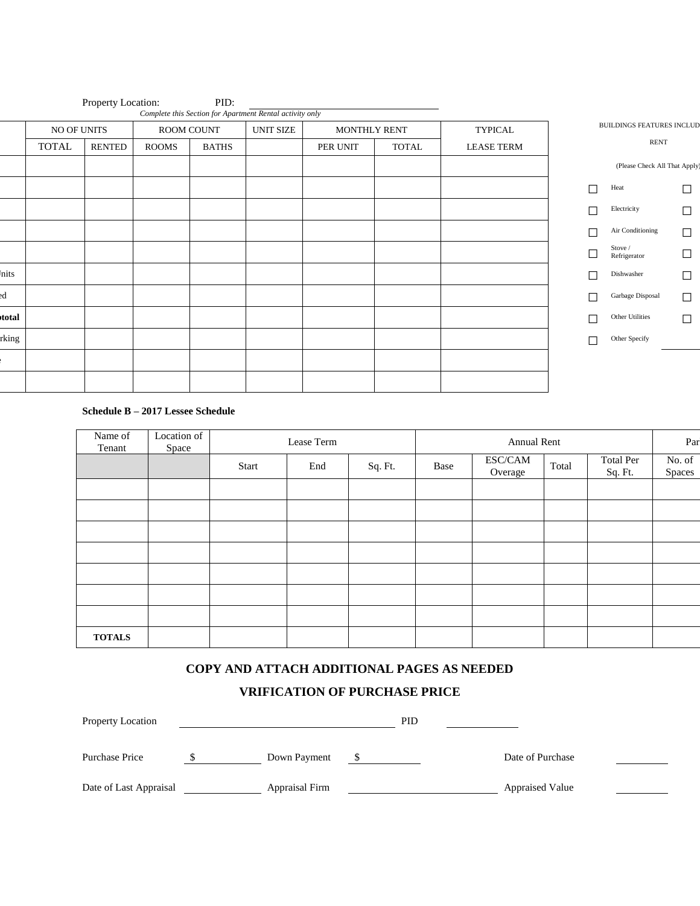|           |              | Property Location: |            | PID:         | Complete this Section for Apartment Rental activity only |              |              |                   |                                  |                               |        |
|-----------|--------------|--------------------|------------|--------------|----------------------------------------------------------|--------------|--------------|-------------------|----------------------------------|-------------------------------|--------|
|           | NO OF UNITS  |                    | ROOM COUNT |              | <b>UNIT SIZE</b>                                         | MONTHLY RENT |              | <b>TYPICAL</b>    | <b>BUILDINGS FEATURES INCLUD</b> |                               |        |
|           | <b>TOTAL</b> | RENTED             | ROOMS      | <b>BATHS</b> |                                                          | PER UNIT     | <b>TOTAL</b> | <b>LEASE TERM</b> |                                  | RENT                          |        |
|           |              |                    |            |              |                                                          |              |              |                   |                                  | (Please Check All That Apply) |        |
|           |              |                    |            |              |                                                          |              |              |                   |                                  | Heat                          | $\Box$ |
|           |              |                    |            |              |                                                          |              |              |                   |                                  | Electricity                   | $\Box$ |
|           |              |                    |            |              |                                                          |              |              |                   |                                  | Air Conditioning              | $\Box$ |
|           |              |                    |            |              |                                                          |              |              |                   |                                  | Stove /<br>Refrigerator       | □      |
| nits      |              |                    |            |              |                                                          |              |              |                   |                                  | Dishwasher                    | $\Box$ |
| <b>ed</b> |              |                    |            |              |                                                          |              |              |                   |                                  | Garbage Disposal              | □      |
| total     |              |                    |            |              |                                                          |              |              |                   |                                  | Other Utilities               | $\Box$ |
| rking     |              |                    |            |              |                                                          |              |              |                   | П                                | Other Specify                 |        |
|           |              |                    |            |              |                                                          |              |              |                   |                                  |                               |        |
|           |              |                    |            |              |                                                          |              |              |                   |                                  |                               |        |

#### **Schedule B – 2017 Lessee Schedule**

| Name of<br>Tenant | Location of<br>Space | Lease Term |     |         | Annual Rent |                    |       |                      | Par                     |
|-------------------|----------------------|------------|-----|---------|-------------|--------------------|-------|----------------------|-------------------------|
|                   |                      | Start      | End | Sq. Ft. | Base        | ESC/CAM<br>Overage | Total | Total Per<br>Sq. Ft. | No. of<br><b>Spaces</b> |
|                   |                      |            |     |         |             |                    |       |                      |                         |
|                   |                      |            |     |         |             |                    |       |                      |                         |
|                   |                      |            |     |         |             |                    |       |                      |                         |
|                   |                      |            |     |         |             |                    |       |                      |                         |
|                   |                      |            |     |         |             |                    |       |                      |                         |
|                   |                      |            |     |         |             |                    |       |                      |                         |
|                   |                      |            |     |         |             |                    |       |                      |                         |
| <b>TOTALS</b>     |                      |            |     |         |             |                    |       |                      |                         |

## **COPY AND ATTACH ADDITIONAL PAGES AS NEEDED**

# **VRIFICATION OF PURCHASE PRICE**

| Property Location      |                | <b>PID</b> |  |                        |  |  |
|------------------------|----------------|------------|--|------------------------|--|--|
| Purchase Price         | Down Payment   |            |  | Date of Purchase       |  |  |
| Date of Last Appraisal | Appraisal Firm |            |  | <b>Appraised Value</b> |  |  |